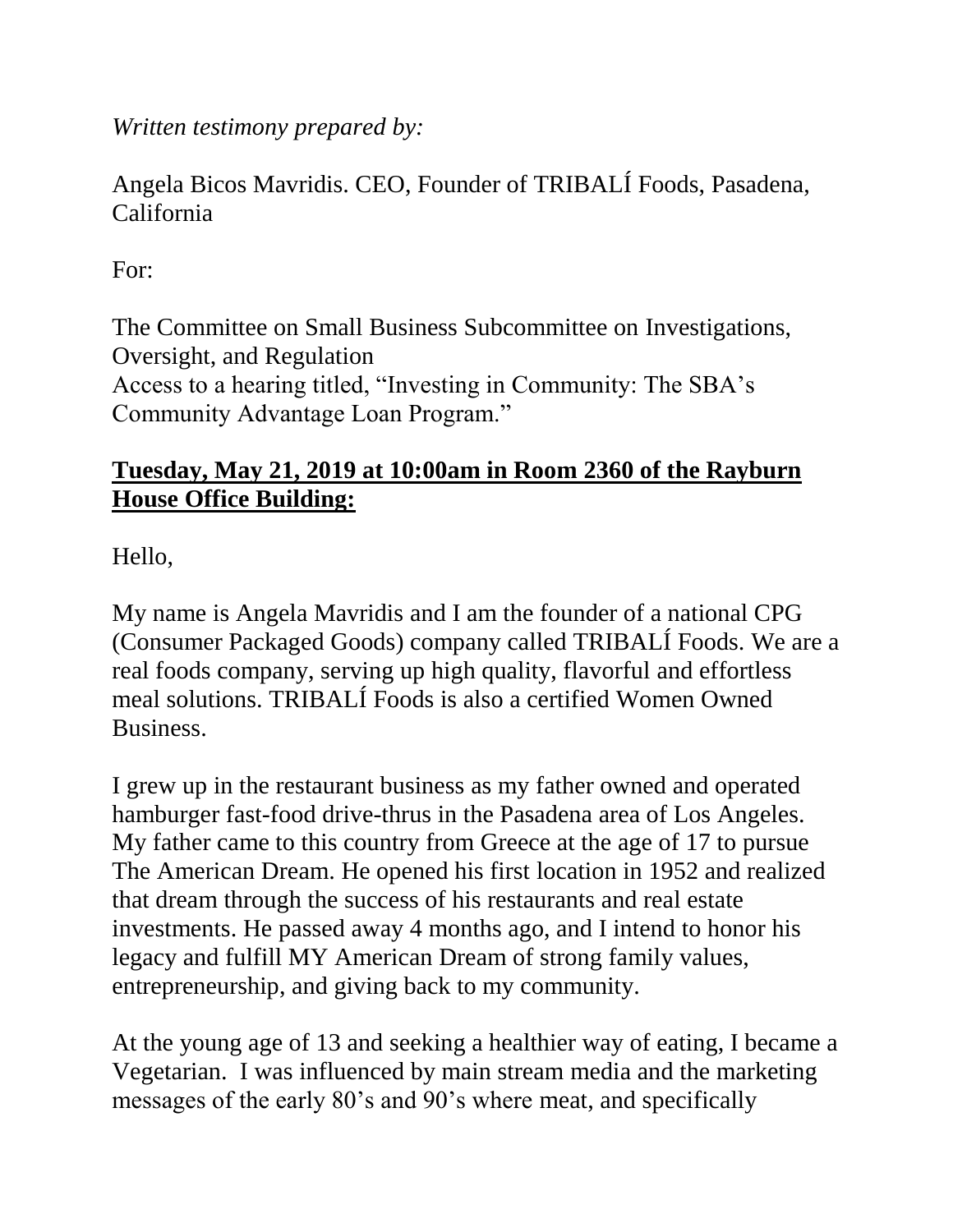*Written testimony prepared by:*

Angela Bicos Mavridis. CEO, Founder of TRIBALÍ Foods, Pasadena, California

For:

The Committee on Small Business Subcommittee on Investigations, Oversight, and Regulation Access to a hearing titled, "Investing in Community: The SBA's Community Advantage Loan Program."

## **Tuesday, May 21, 2019 at 10:00am in Room 2360 of the Rayburn House Office Building:**

Hello,

My name is Angela Mavridis and I am the founder of a national CPG (Consumer Packaged Goods) company called TRIBALÍ Foods. We are a real foods company, serving up high quality, flavorful and effortless meal solutions. TRIBALÍ Foods is also a certified Women Owned Business.

I grew up in the restaurant business as my father owned and operated hamburger fast-food drive-thrus in the Pasadena area of Los Angeles. My father came to this country from Greece at the age of 17 to pursue The American Dream. He opened his first location in 1952 and realized that dream through the success of his restaurants and real estate investments. He passed away 4 months ago, and I intend to honor his legacy and fulfill MY American Dream of strong family values, entrepreneurship, and giving back to my community.

At the young age of 13 and seeking a healthier way of eating, I became a Vegetarian. I was influenced by main stream media and the marketing messages of the early 80's and 90's where meat, and specifically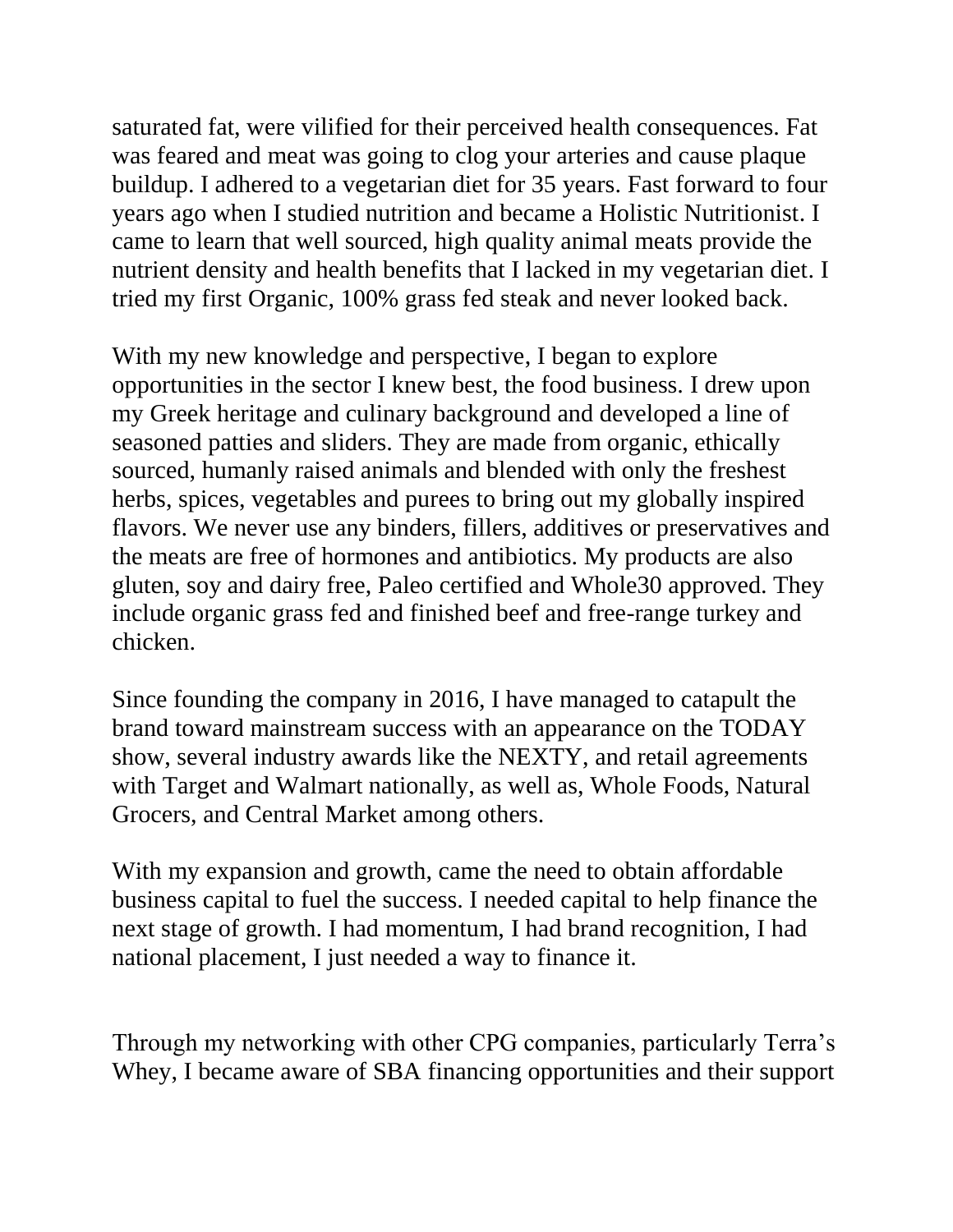saturated fat, were vilified for their perceived health consequences. Fat was feared and meat was going to clog your arteries and cause plaque buildup. I adhered to a vegetarian diet for 35 years. Fast forward to four years ago when I studied nutrition and became a Holistic Nutritionist. I came to learn that well sourced, high quality animal meats provide the nutrient density and health benefits that I lacked in my vegetarian diet. I tried my first Organic, 100% grass fed steak and never looked back.

With my new knowledge and perspective, I began to explore opportunities in the sector I knew best, the food business. I drew upon my Greek heritage and culinary background and developed a line of seasoned patties and sliders. They are made from organic, ethically sourced, humanly raised animals and blended with only the freshest herbs, spices, vegetables and purees to bring out my globally inspired flavors. We never use any binders, fillers, additives or preservatives and the meats are free of hormones and antibiotics. My products are also gluten, soy and dairy free, Paleo certified and Whole30 approved. They include organic grass fed and finished beef and free-range turkey and chicken.

Since founding the company in 2016, I have managed to catapult the brand toward mainstream success with an appearance on the TODAY show, several industry awards like the NEXTY, and retail agreements with Target and Walmart nationally, as well as, Whole Foods, Natural Grocers, and Central Market among others.

With my expansion and growth, came the need to obtain affordable business capital to fuel the success. I needed capital to help finance the next stage of growth. I had momentum, I had brand recognition, I had national placement, I just needed a way to finance it.

Through my networking with other CPG companies, particularly Terra's Whey, I became aware of SBA financing opportunities and their support